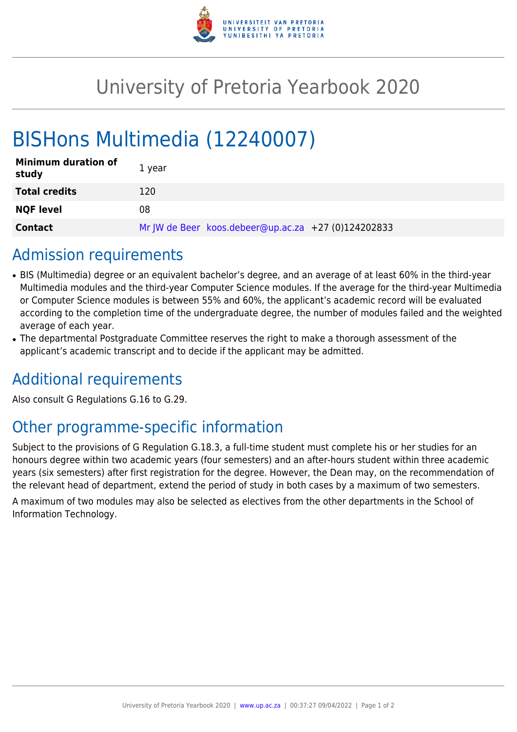

## University of Pretoria Yearbook 2020

# BISHons Multimedia (12240007)

| <b>Minimum duration of</b><br>study | 1 year                                              |
|-------------------------------------|-----------------------------------------------------|
| <b>Total credits</b>                | 120                                                 |
| <b>NQF level</b>                    | 08                                                  |
| <b>Contact</b>                      | Mr JW de Beer koos.debeer@up.ac.za +27 (0)124202833 |

### Admission requirements

- BIS (Multimedia) degree or an equivalent bachelor's degree, and an average of at least 60% in the third-year Multimedia modules and the third-year Computer Science modules. If the average for the third-year Multimedia or Computer Science modules is between 55% and 60%, the applicant's academic record will be evaluated according to the completion time of the undergraduate degree, the number of modules failed and the weighted average of each year.
- The departmental Postgraduate Committee reserves the right to make a thorough assessment of the applicant's academic transcript and to decide if the applicant may be admitted.

### Additional requirements

Also consult G Regulations G.16 to G.29.

### Other programme-specific information

Subject to the provisions of G Regulation G.18.3, a full-time student must complete his or her studies for an honours degree within two academic years (four semesters) and an after-hours student within three academic years (six semesters) after first registration for the degree. However, the Dean may, on the recommendation of the relevant head of department, extend the period of study in both cases by a maximum of two semesters.

A maximum of two modules may also be selected as electives from the other departments in the School of Information Technology.